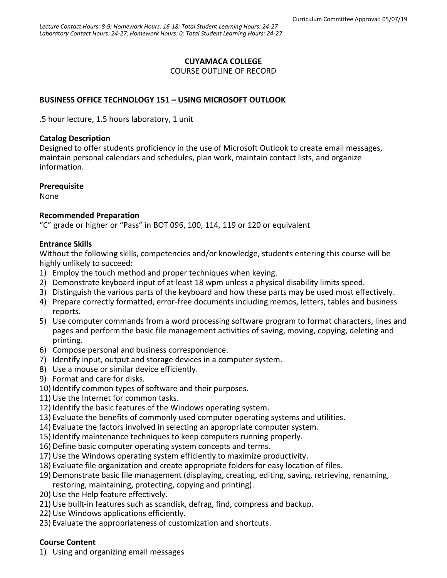## **CUYAMACA COLLEGE**

COURSE OUTLINE OF RECORD

## **BUSINESS OFFICE TECHNOLOGY 151 – USING MICROSOFT OUTLOOK**

.5 hour lecture, 1.5 hours laboratory, 1 unit

#### **Catalog Description**

Designed to offer students proficiency in the use of Microsoft Outlook to create email messages, maintain personal calendars and schedules, plan work, maintain contact lists, and organize information.

### **Prerequisite**

None

### **Recommended Preparation**

"C" grade or higher or "Pass" in BOT 096, 100, 114, 119 or 120 or equivalent

### **Entrance Skills**

Without the following skills, competencies and/or knowledge, students entering this course will be highly unlikely to succeed:

- 1) Employ the touch method and proper techniques when keying.
- 2) Demonstrate keyboard input of at least 18 wpm unless a physical disability limits speed.
- 3) Distinguish the various parts of the keyboard and how these parts may be used most effectively.
- 4) Prepare correctly formatted, error-free documents including memos, letters, tables and business reports.
- 5) Use computer commands from a word processing software program to format characters, lines and pages and perform the basic file management activities of saving, moving, copying, deleting and printing.
- 6) Compose personal and business correspondence.
- 7) Identify input, output and storage devices in a computer system.
- 8) Use a mouse or similar device efficiently.
- 9) Format and care for disks.
- 10) Identify common types of software and their purposes.
- 11) Use the Internet for common tasks.
- 12) Identify the basic features of the Windows operating system.
- 13) Evaluate the benefits of commonly used computer operating systems and utilities.
- 14) Evaluate the factors involved in selecting an appropriate computer system.
- 15) Identify maintenance techniques to keep computers running properly.
- 16) Define basic computer operating system concepts and terms.
- 17) Use the Windows operating system efficiently to maximize productivity.
- 18) Evaluate file organization and create appropriate folders for easy location of files.
- 19) Demonstrate basic file management (displaying, creating, editing, saving, retrieving, renaming, restoring, maintaining, protecting, copying and printing).
- 20) Use the Help feature effectively.
- 21) Use built-in features such as scandisk, defrag, find, compress and backup.
- 22) Use Windows applications efficiently.
- 23) Evaluate the appropriateness of customization and shortcuts.

### **Course Content**

1) Using and organizing email messages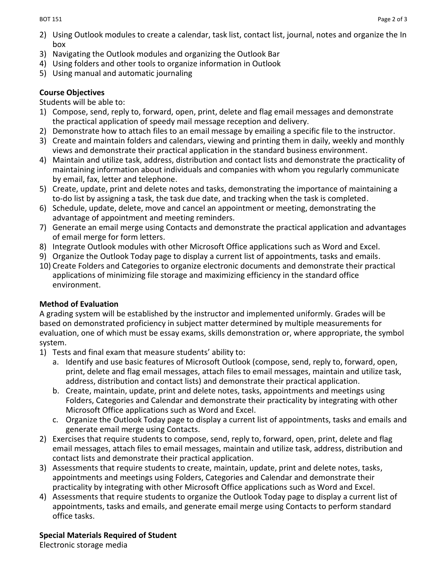- 2) Using Outlook modules to create a calendar, task list, contact list, journal, notes and organize the In box
- 3) Navigating the Outlook modules and organizing the Outlook Bar
- 4) Using folders and other tools to organize information in Outlook
- 5) Using manual and automatic journaling

## **Course Objectives**

Students will be able to:

- 1) Compose, send, reply to, forward, open, print, delete and flag email messages and demonstrate the practical application of speedy mail message reception and delivery.
- 2) Demonstrate how to attach files to an email message by emailing a specific file to the instructor.
- 3) Create and maintain folders and calendars, viewing and printing them in daily, weekly and monthly views and demonstrate their practical application in the standard business environment.
- 4) Maintain and utilize task, address, distribution and contact lists and demonstrate the practicality of maintaining information about individuals and companies with whom you regularly communicate by email, fax, letter and telephone.
- 5) Create, update, print and delete notes and tasks, demonstrating the importance of maintaining a to-do list by assigning a task, the task due date, and tracking when the task is completed.
- 6) Schedule, update, delete, move and cancel an appointment or meeting, demonstrating the advantage of appointment and meeting reminders.
- 7) Generate an email merge using Contacts and demonstrate the practical application and advantages of email merge for form letters.
- 8) Integrate Outlook modules with other Microsoft Office applications such as Word and Excel.
- 9) Organize the Outlook Today page to display a current list of appointments, tasks and emails.
- 10) Create Folders and Categories to organize electronic documents and demonstrate their practical applications of minimizing file storage and maximizing efficiency in the standard office environment.

# **Method of Evaluation**

A grading system will be established by the instructor and implemented uniformly. Grades will be based on demonstrated proficiency in subject matter determined by multiple measurements for evaluation, one of which must be essay exams, skills demonstration or, where appropriate, the symbol system.

- 1) Tests and final exam that measure students' ability to:
	- a. Identify and use basic features of Microsoft Outlook (compose, send, reply to, forward, open, print, delete and flag email messages, attach files to email messages, maintain and utilize task, address, distribution and contact lists) and demonstrate their practical application.
	- b. Create, maintain, update, print and delete notes, tasks, appointments and meetings using Folders, Categories and Calendar and demonstrate their practicality by integrating with other Microsoft Office applications such as Word and Excel.
	- c. Organize the Outlook Today page to display a current list of appointments, tasks and emails and generate email merge using Contacts.
- 2) Exercises that require students to compose, send, reply to, forward, open, print, delete and flag email messages, attach files to email messages, maintain and utilize task, address, distribution and contact lists and demonstrate their practical application.
- 3) Assessments that require students to create, maintain, update, print and delete notes, tasks, appointments and meetings using Folders, Categories and Calendar and demonstrate their practicality by integrating with other Microsoft Office applications such as Word and Excel.
- 4) Assessments that require students to organize the Outlook Today page to display a current list of appointments, tasks and emails, and generate email merge using Contacts to perform standard office tasks.

# **Special Materials Required of Student**

Electronic storage media